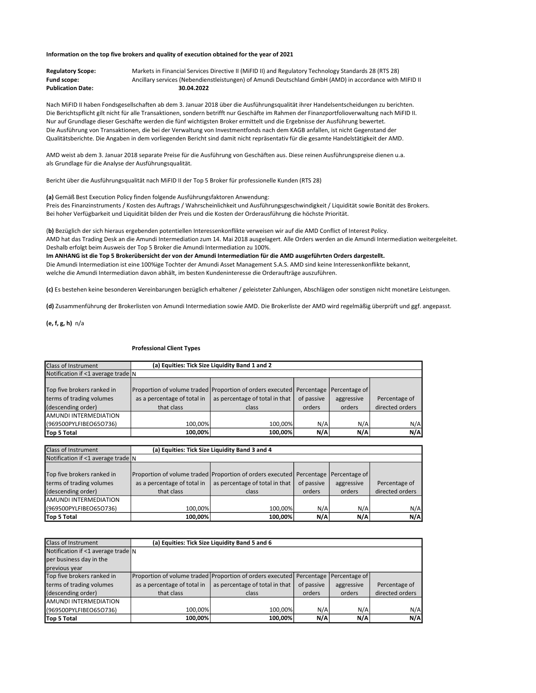## Information on the top five brokers and quality of execution obtained for the year of 2021

| <b>Regulatory Scope:</b> | Markets in Financial Services Directive II (MIFID II) and Regulatory Technology Standards 28 (RTS 28)   |
|--------------------------|---------------------------------------------------------------------------------------------------------|
| <b>Fund scope:</b>       | Ancillary services (Nebendienstleistungen) of Amundi Deutschland GmbH (AMD) in accordance with MIFID II |
| <b>Publication Date:</b> | 30.04.2022                                                                                              |

Nach MiFID II haben Fondsgesellschaften ab dem 3. Januar 2018 über die Ausführungsqualität ihrer Handelsentscheidungen zu berichten. Die Berichtspflicht gilt nicht für alle Transaktionen, sondern betrifft nur Geschäfte im Rahmen der Finanzportfolioverwaltung nach MiFID II. Nur auf Grundlage dieser Geschäfte werden die fünf wichtigsten Broker ermittelt und die Ergebnisse der Ausführung bewertet. Die Ausführung von Transaktionen, die bei der Verwaltung von Investmentfonds nach dem KAGB anfallen, ist nicht Gegenstand der Qualitätsberichte. Die Angaben in dem vorliegenden Bericht sind damit nicht repräsentativ für die gesamte Handelstätigkeit der AMD.

AMD weist ab dem 3. Januar 2018 separate Preise für die Ausführung von Geschäften aus. Diese reinen Ausführungspreise dienen u.a. als Grundlage für die Analyse der Ausführungsqualität.

Bericht über die Ausführungsqualität nach MiFID II der Top 5 Broker für professionelle Kunden (RTS 28)

welche die Amundi Intermediation davon abhält, im besten Kundeninteresse die Orderaufträge auszuführen.

(a) Gemäß Best Execution Policy finden folgende Ausführungsfaktoren Anwendung:

Preis des Finanzinstruments / Kosten des Auftrags / Wahrscheinlichkeit und Ausführungsgeschwindigkeit / Liquidität sowie Bonität des Brokers. Bei hoher Verfügbarkeit und Liquidität bilden der Preis und die Kosten der Orderausführung die höchste Priorität.

(b) Bezüglich der sich hieraus ergebenden potentiellen Interessenkonflikte verweisen wir auf die AMD Conflict of Interest Policy. AMD hat das Trading Desk an die Amundi Intermediation zum 14. Mai 2018 ausgelagert. Alle Orders werden an die Amundi Intermediation weitergeleitet. Deshalb erfolgt beim Ausweis der Top 5 Broker die Amundi Intermediation zu 100%. Im ANHANG ist die Top 5 Brokerübersicht der von der Amundi Intermediation für die AMD ausgeführten Orders dargestellt. Die Amundi Intermediation ist eine 100%ige Tochter der Amundi Asset Management S.A.S. AMD sind keine Interessenkonflikte bekannt,

(c) Es bestehen keine besonderen Vereinbarungen bezüglich erhaltener / geleisteter Zahlungen, Abschlägen oder sonstigen nicht monetäre Leistungen.

(d) Zusammenführung der Brokerlisten von Amundi Intermediation sowie AMD. Die Brokerliste der AMD wird regelmäßig überprüft und ggf. angepasst.

(e, f, g, h) n/a

## Professional Client Types

| <b>Class of Instrument</b>               |                             | (a) Equities: Tick Size Liquidity Band 1 and 2                       |            |               |                 |
|------------------------------------------|-----------------------------|----------------------------------------------------------------------|------------|---------------|-----------------|
| Notification if $\leq 1$ average trade N |                             |                                                                      |            |               |                 |
|                                          |                             |                                                                      |            |               |                 |
| Top five brokers ranked in               |                             | Proportion of volume traded Proportion of orders executed Percentage |            | Percentage of |                 |
| terms of trading volumes                 | as a percentage of total in | as percentage of total in that                                       | of passive | aggressive    | Percentage of   |
| (descending order)                       | that class                  | class                                                                | orders     | orders        | directed orders |
| <b>AMUNDI INTERMEDIATION</b>             |                             |                                                                      |            |               |                 |
| (969500PYLFIBEO65O736)                   | 100.00%                     | 100.00%                                                              | N/A        | N/A           | N/A             |
| Top 5 Total                              | 100.00%                     | 100.00%                                                              | N/A        | N/A           | N/A             |

| <b>Class of Instrument</b>               | (a) Equities: Tick Size Liquidity Band 3 and 4 |                                                                                    |            |            |                 |  |
|------------------------------------------|------------------------------------------------|------------------------------------------------------------------------------------|------------|------------|-----------------|--|
| Notification if $\leq 1$ average trade N |                                                |                                                                                    |            |            |                 |  |
|                                          |                                                |                                                                                    |            |            |                 |  |
| Top five brokers ranked in               |                                                | Proportion of volume traded Proportion of orders executed Percentage Percentage of |            |            |                 |  |
| terms of trading volumes                 | as a percentage of total in                    | as percentage of total in that                                                     | of passive | aggressive | Percentage of   |  |
| (descending order)                       | that class                                     | class                                                                              | orders     | orders     | directed orders |  |
| AMUNDI INTERMEDIATION                    |                                                |                                                                                    |            |            |                 |  |
| (969500PYLFIBEO65O736)                   | 100.00%                                        | 100.00%                                                                            | N/A        | N/A        | N/A             |  |
| Top 5 Total                              | 100.00%                                        | 100.00%                                                                            | N/A        | N/A        | N/A             |  |

| Class of Instrument                      |                             | (a) Equities: Tick Size Liquidity Band 5 and 6            |            |               |                 |
|------------------------------------------|-----------------------------|-----------------------------------------------------------|------------|---------------|-----------------|
| Notification if $\leq 1$ average trade N |                             |                                                           |            |               |                 |
| per business day in the                  |                             |                                                           |            |               |                 |
| previous year                            |                             |                                                           |            |               |                 |
| Top five brokers ranked in               |                             | Proportion of volume traded Proportion of orders executed | Percentage | Percentage of |                 |
| terms of trading volumes                 | as a percentage of total in | as percentage of total in that                            | of passive | aggressive    | Percentage of   |
| (descending order)                       | that class                  | class                                                     | orders     | orders        | directed orders |
| <b>AMUNDI INTERMEDIATION</b>             |                             |                                                           |            |               |                 |
| (969500PYLFIBEO65O736)                   | 100.00%                     | 100.00%                                                   | N/A        | N/A           | N/A             |
| Top 5 Total                              | 100.00%                     | 100.00%                                                   | N/A        | N/A           | N/A             |